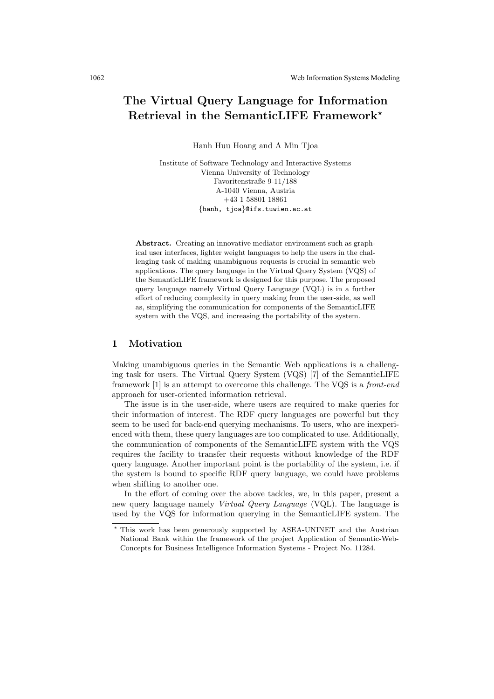# The Virtual Query Language for Information Retrieval in the SemanticLIFE Framework?

Hanh Huu Hoang and A Min Tjoa

Institute of Software Technology and Interactive Systems Vienna University of Technology Favoritenstraße 9-11/188 A-1040 Vienna, Austria +43 1 58801 18861 {hanh, tjoa}@ifs.tuwien.ac.at

Abstract. Creating an innovative mediator environment such as graphical user interfaces, lighter weight languages to help the users in the challenging task of making unambiguous requests is crucial in semantic web applications. The query language in the Virtual Query System (VQS) of the SemanticLIFE framework is designed for this purpose. The proposed query language namely Virtual Query Language (VQL) is in a further effort of reducing complexity in query making from the user-side, as well as, simplifying the communication for components of the SemanticLIFE system with the VQS, and increasing the portability of the system.

### 1 Motivation

Making unambiguous queries in the Semantic Web applications is a challenging task for users. The Virtual Query System (VQS) [7] of the SemanticLIFE framework [1] is an attempt to overcome this challenge. The VQS is a front-end approach for user-oriented information retrieval.

The issue is in the user-side, where users are required to make queries for their information of interest. The RDF query languages are powerful but they seem to be used for back-end querying mechanisms. To users, who are inexperienced with them, these query languages are too complicated to use. Additionally, the communication of components of the SemanticLIFE system with the VQS requires the facility to transfer their requests without knowledge of the RDF query language. Another important point is the portability of the system, i.e. if the system is bound to specific RDF query language, we could have problems when shifting to another one.

In the effort of coming over the above tackles, we, in this paper, present a new query language namely Virtual Query Language (VQL). The language is used by the VQS for information querying in the SemanticLIFE system. The

<sup>?</sup> This work has been generously supported by ASEA-UNINET and the Austrian National Bank within the framework of the project Application of Semantic-Web-Concepts for Business Intelligence Information Systems - Project No. 11284.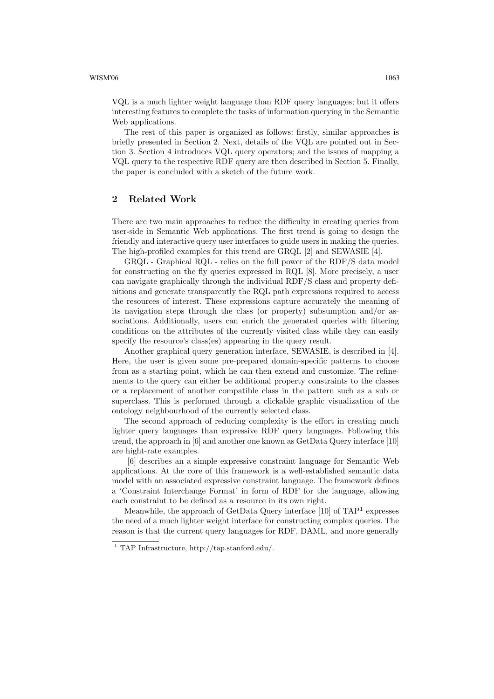VQL is a much lighter weight language than RDF query languages; but it offers interesting features to complete the tasks of information querying in the Semantic Web applications.

The rest of this paper is organized as follows: firstly, similar approaches is briefly presented in Section 2. Next, details of the VQL are pointed out in Section 3. Section 4 introduces VQL query operators; and the issues of mapping a VQL query to the respective RDF query are then described in Section 5. Finally, the paper is concluded with a sketch of the future work.

# 2 Related Work

There are two main approaches to reduce the difficulty in creating queries from user-side in Semantic Web applications. The first trend is going to design the friendly and interactive query user interfaces to guide users in making the queries. The high-profiled examples for this trend are GRQL [2] and SEWASIE [4].

GRQL - Graphical RQL - relies on the full power of the RDF/S data model for constructing on the fly queries expressed in RQL [8]. More precisely, a user can navigate graphically through the individual RDF/S class and property definitions and generate transparently the RQL path expressions required to access the resources of interest. These expressions capture accurately the meaning of its navigation steps through the class (or property) subsumption and/or associations. Additionally, users can enrich the generated queries with filtering conditions on the attributes of the currently visited class while they can easily specify the resource's class(es) appearing in the query result.

Another graphical query generation interface, SEWASIE, is described in [4]. Here, the user is given some pre-prepared domain-specific patterns to choose from as a starting point, which he can then extend and customize. The refinements to the query can either be additional property constraints to the classes or a replacement of another compatible class in the pattern such as a sub or superclass. This is performed through a clickable graphic visualization of the ontology neighbourhood of the currently selected class.

The second approach of reducing complexity is the effort in creating much lighter query languages than expressive RDF query languages. Following this trend, the approach in [6] and another one known as GetData Query interface [10] are hight-rate examples.

[6] describes an a simple expressive constraint language for Semantic Web applications. At the core of this framework is a well-established semantic data model with an associated expressive constraint language. The framework defines a 'Constraint Interchange Format' in form of RDF for the language, allowing each constraint to be defined as a resource in its own right.

Meanwhile, the approach of GetData Query interface [10] of TAP<sup>1</sup> expresses the need of a much lighter weight interface for constructing complex queries. The reason is that the current query languages for RDF, DAML, and more generally

<sup>1</sup> TAP Infrastructure, http://tap.stanford.edu/.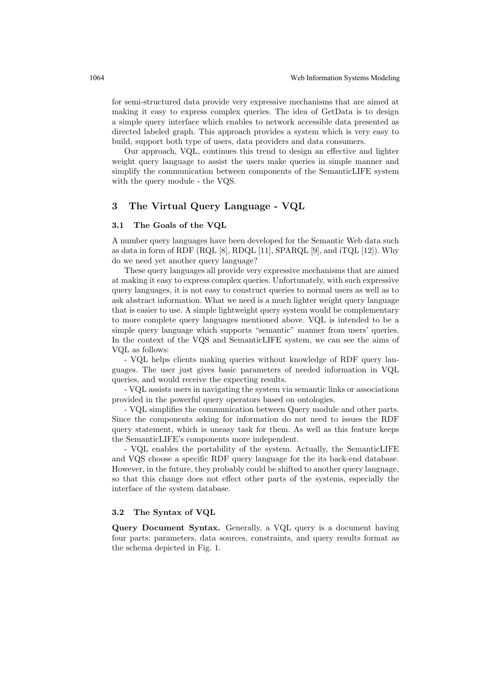for semi-structured data provide very expressive mechanisms that are aimed at making it easy to express complex queries. The idea of GetData is to design a simple query interface which enables to network accessible data presented as directed labeled graph. This approach provides a system which is very easy to build, support both type of users, data providers and data consumers.

Our approach, VQL, continues this trend to design an effective and lighter weight query language to assist the users make queries in simple manner and simplify the communication between components of the SemanticLIFE system with the query module - the VQS.

# 3 The Virtual Query Language - VQL

#### 3.1 The Goals of the VQL

A number query languages have been developed for the Semantic Web data such as data in form of RDF (RQL [8], RDQL [11], SPARQL [9], and iTQL [12]). Why do we need yet another query language?

These query languages all provide very expressive mechanisms that are aimed at making it easy to express complex queries. Unfortunately, with such expressive query languages, it is not easy to construct queries to normal users as well as to ask abstract information. What we need is a much lighter weight query language that is easier to use. A simple lightweight query system would be complementary to more complete query languages mentioned above. VQL is intended to be a simple query language which supports "semantic" manner from users' queries. In the context of the VQS and SemanticLIFE system, we can see the aims of VQL as follows:

- VQL helps clients making queries without knowledge of RDF query languages. The user just gives basic parameters of needed information in VQL queries, and would receive the expecting results.

- VQL assists users in navigating the system via semantic links or associations provided in the powerful query operators based on ontologies.

- VQL simplifies the communication between Query module and other parts. Since the components asking for information do not need to issues the RDF query statement, which is uneasy task for them. As well as this feature keeps the SemanticLIFE's components more independent.

- VQL enables the portability of the system. Actually, the SemanticLIFE and VQS choose a specific RDF query language for the its back-end database. However, in the future, they probably could be shifted to another query language, so that this change does not effect other parts of the systems, especially the interface of the system database.

### 3.2 The Syntax of VQL

Query Document Syntax. Generally, a VQL query is a document having four parts: parameters, data sources, constraints, and query results format as the schema depicted in Fig. 1.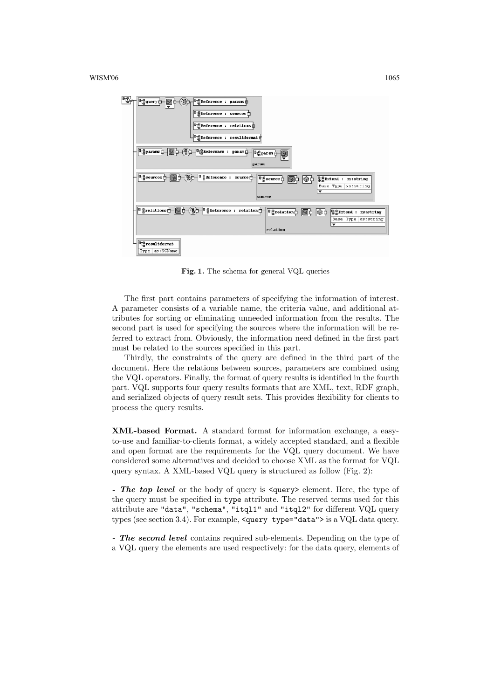

Fig. 1. The schema for general VQL queries

The first part contains parameters of specifying the information of interest. A parameter consists of a variable name, the criteria value, and additional attributes for sorting or eliminating unneeded information from the results. The second part is used for specifying the sources where the information will be referred to extract from. Obviously, the information need defined in the first part must be related to the sources specified in this part.

Thirdly, the constraints of the query are defined in the third part of the document. Here the relations between sources, parameters are combined using the VQL operators. Finally, the format of query results is identified in the fourth part. VQL supports four query results formats that are XML, text, RDF graph, and serialized objects of query result sets. This provides flexibility for clients to process the query results.

XML-based Format. A standard format for information exchange, a easyto-use and familiar-to-clients format, a widely accepted standard, and a flexible and open format are the requirements for the VQL query document. We have considered some alternatives and decided to choose XML as the format for VQL query syntax. A XML-based VQL query is structured as follow (Fig. 2):

- The top level or the body of query is  $\langle\text{query}\rangle$  element. Here, the type of the query must be specified in type attribute. The reserved terms used for this attribute are "data", "schema", "itql1" and "itql2" for different VQL query types (see section 3.4). For example, <query type="data"> is a VQL data query.

- The second level contains required sub-elements. Depending on the type of a VQL query the elements are used respectively: for the data query, elements of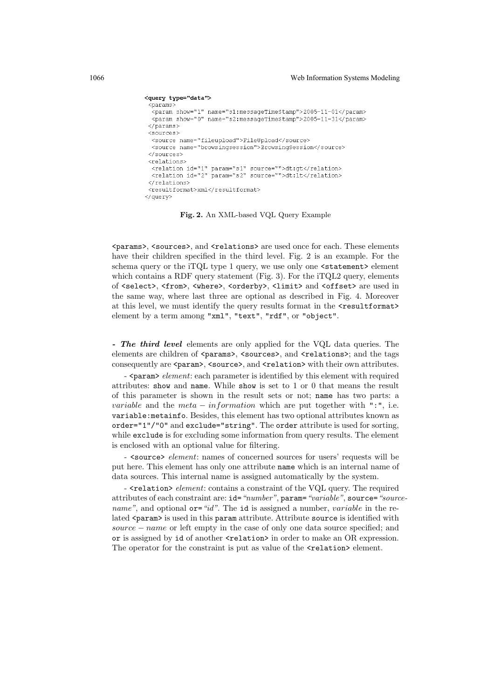```
<query type="data">
 -<br><params>
  .<br><param show="1" name="s1:messageTimeStamp">2005-11-01</param>
  <param show="0" name="s2:messageTimeStamp">2005-11-31</param>
 \langle/narams>
 <sources>
  <source name="fileupload">FileUpload</source>
  <source name="browsingsession">BrowsingSession</source>
 </sources>
<relations>
  <relation id="1" param="s1" source="">dt:gt</relation>
  <relation id="2" param="s2" source="">dt:lt</relation>
\langle/relations\rangle<resultformat>xml</resultformat>
</guery>
```
Fig. 2. An XML-based VQL Query Example

<params>, <sources>, and <relations> are used once for each. These elements have their children specified in the third level. Fig. 2 is an example. For the schema query or the iTQL type 1 query, we use only one <statement> element which contains a RDF query statement (Fig. 3). For the iTQL2 query, elements of <select>, <from>, <where>, <orderby>, <limit> and <offset> are used in the same way, where last three are optional as described in Fig. 4. Moreover at this level, we must identify the query results format in the <resultformat> element by a term among "xml", "text", "rdf", or "object".

- The third level elements are only applied for the VQL data queries. The elements are children of <params>, <sources>, and <relations>; and the tags consequently are <param>, <source>, and <relation> with their own attributes.

 $\sim$  <param> element: each parameter is identified by this element with required attributes: show and name. While show is set to 1 or 0 that means the result of this parameter is shown in the result sets or not; name has two parts: a *variable* and the *meta – information* which are put together with ":", i.e. variable:metainfo. Besides, this element has two optional attributes known as order="1"/"0" and exclude="string". The order attribute is used for sorting, while exclude is for excluding some information from query results. The element is enclosed with an optional value for filtering.

-  $\leq$  source belowent: names of concerned sources for users' requests will be put here. This element has only one attribute name which is an internal name of data sources. This internal name is assigned automatically by the system.

- <relation> element: contains a constraint of the VQL query. The required attributes of each constraint are: id="number", param="variable", source="source*name*", and optional  $or = "id"$ . The id is assigned a number, *variable* in the related <param> is used in this param attribute. Attribute source is identified with source – name or left empty in the case of only one data source specified; and or is assigned by id of another  $\langle$ relation> in order to make an OR expression. The operator for the constraint is put as value of the  $\epsilon$  relation below element.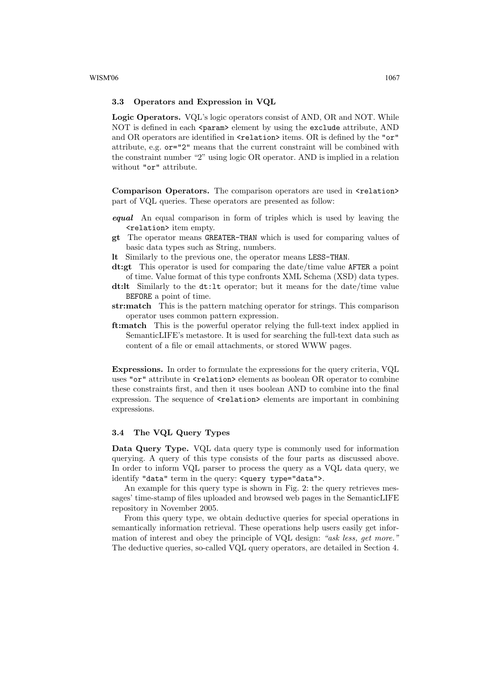#### 3.3 Operators and Expression in VQL

Logic Operators. VQL's logic operators consist of AND, OR and NOT. While NOT is defined in each  $\epsilon$  param> element by using the exclude attribute, AND and OR operators are identified in  $\le$ relation> items. OR is defined by the "or" attribute, e.g. or="2" means that the current constraint will be combined with the constraint number "2" using logic OR operator. AND is implied in a relation without "or" attribute.

Comparison Operators. The comparison operators are used in  $\epsilon$  relation> part of VQL queries. These operators are presented as follow:

- equal An equal comparison in form of triples which is used by leaving the <relation> item empty.
- gt The operator means GREATER-THAN which is used for comparing values of basic data types such as String, numbers.
- lt Similarly to the previous one, the operator means LESS-THAN.
- dt:gt This operator is used for comparing the date/time value AFTER a point of time. Value format of this type confronts XML Schema (XSD) data types.
- dt:lt Similarly to the dt:lt operator; but it means for the date/time value BEFORE a point of time.
- str:match This is the pattern matching operator for strings. This comparison operator uses common pattern expression.
- ft:match This is the powerful operator relying the full-text index applied in SemanticLIFE's metastore. It is used for searching the full-text data such as content of a file or email attachments, or stored WWW pages.

Expressions. In order to formulate the expressions for the query criteria, VQL uses "or" attribute in  $\epsilon$ relation> elements as boolean OR operator to combine these constraints first, and then it uses boolean AND to combine into the final expression. The sequence of **<relation>** elements are important in combining expressions.

### 3.4 The VQL Query Types

Data Query Type. VQL data query type is commonly used for information querying. A query of this type consists of the four parts as discussed above. In order to inform VQL parser to process the query as a VQL data query, we identify "data" term in the query: <query type="data">.

An example for this query type is shown in Fig. 2: the query retrieves messages' time-stamp of files uploaded and browsed web pages in the SemanticLIFE repository in November 2005.

From this query type, we obtain deductive queries for special operations in semantically information retrieval. These operations help users easily get information of interest and obey the principle of VQL design: "ask less, get more." The deductive queries, so-called VQL query operators, are detailed in Section 4.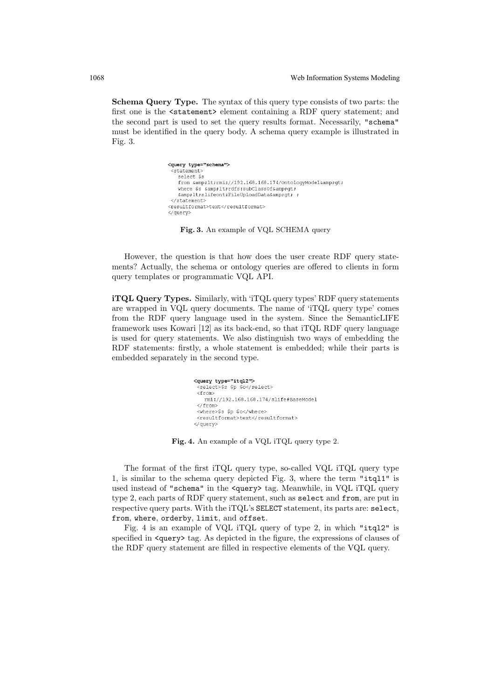Schema Query Type. The syntax of this query type consists of two parts: the first one is the <statement> element containing a RDF query statement; and the second part is used to set the query results format. Necessarily, "schema" must be identified in the query body. A schema query example is illustrated in Fig. 3.

```
<query type="schema">
 <statement>
   select Ss
   from &1t;rmi://192.168.168.174/OntologyModel&qt;
   where $s <rdfs:subClassOf&amp;gt;
   & lt; slifeont: FileUploadData& gt; ;
 </statement>
<resultformat>text</resultformat>
</guery>
```
Fig. 3. An example of VQL SCHEMA query

However, the question is that how does the user create RDF query statements? Actually, the schema or ontology queries are offered to clients in form query templates or programmatic VQL API.

iTQL Query Types. Similarly, with 'iTQL query types' RDF query statements are wrapped in VQL query documents. The name of 'iTQL query type' comes from the RDF query language used in the system. Since the SemanticLIFE framework uses Kowari [12] as its back-end, so that iTQL RDF query language is used for query statements. We also distinguish two ways of embedding the RDF statements: firstly, a whole statement is embedded; while their parts is embedded separately in the second type.

```
<query type="itql2">
    .<br><select>$s $p $o</select>
  <from>
       rmi://192.168.168.174/slife#BaseModel
   </from>
  \frac{1}{2} \frac{1}{2} \frac{1}{2} \frac{1}{2} \frac{1}{2} \frac{1}{2} \frac{1}{2} \frac{1}{2} \frac{1}{2} \frac{1}{2} \frac{1}{2} \frac{1}{2} \frac{1}{2} \frac{1}{2} \frac{1}{2} \frac{1}{2} \frac{1}{2} \frac{1}{2} \frac{1}{2} \frac{1}{2} \frac{1}{2} \frac{1}{2} <resultformat>text</resultformat>
</guery>
```
Fig. 4. An example of a VQL iTQL query type 2.

The format of the first iTQL query type, so-called VQL iTQL query type 1, is similar to the schema query depicted Fig. 3, where the term "itql1" is used instead of "schema" in the <query> tag. Meanwhile, in VQL iTQL query type 2, each parts of RDF query statement, such as select and from, are put in respective query parts. With the iTQL's SELECT statement, its parts are: select, from, where, orderby, limit, and offset.

Fig. 4 is an example of VQL iTQL query of type 2, in which "itql2" is specified in  $\langle \text{query} \rangle$  tag. As depicted in the figure, the expressions of clauses of the RDF query statement are filled in respective elements of the VQL query.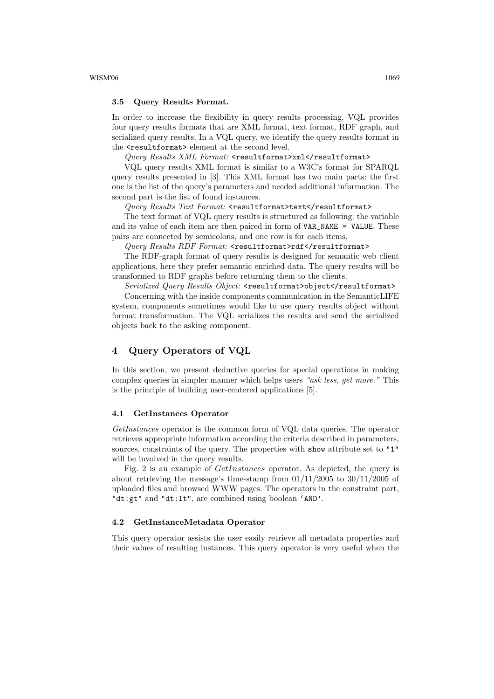#### 3.5 Query Results Format.

In order to increase the flexibility in query results processing, VQL provides four query results formats that are XML format, text format, RDF graph, and serialized query results. In a VQL query, we identify the query results format in the **<resultformat>** element at the second level.

Query Results XML Format: <resultformat>xml</resultformat>

VQL query results XML format is similar to a W3C's format for SPARQL query results presented in [3]. This XML format has two main parts: the first one is the list of the query's parameters and needed additional information. The second part is the list of found instances.

Query Results Text Format: <resultformat>text</resultformat>

The text format of VQL query results is structured as following: the variable and its value of each item are then paired in form of VAR\_NAME = VALUE. These pairs are connected by semicolons, and one row is for each items.

 $Query$   $Results$   $RDF$   $Format:$   $\le$ resultformat>rdf</resultformat>

The RDF-graph format of query results is designed for semantic web client applications, here they prefer semantic enriched data. The query results will be transformed to RDF graphs before returning them to the clients.

Serialized Query Results Object: <resultformat>object</resultformat> Concerning with the inside components communication in the SemanticLIFE system, components sometimes would like to use query results object without format transformation. The VQL serializes the results and send the serialized objects back to the asking component.

## 4 Query Operators of VQL

In this section, we present deductive queries for special operations in making complex queries in simpler manner which helps users "ask less, get more." This is the principle of building user-centered applications [5].

#### 4.1 GetInstances Operator

GetInstances operator is the common form of VQL data queries. The operator retrieves appropriate information according the criteria described in parameters, sources, constraints of the query. The properties with show attribute set to "1" will be involved in the query results.

Fig. 2 is an example of GetInstances operator. As depicted, the query is about retrieving the message's time-stamp from  $01/11/2005$  to  $30/11/2005$  of uploaded files and browsed WWW pages. The operators in the constraint part, "dt:gt" and "dt:lt", are combined using boolean 'AND'.

#### 4.2 GetInstanceMetadata Operator

This query operator assists the user easily retrieve all metadata properties and their values of resulting instances. This query operator is very useful when the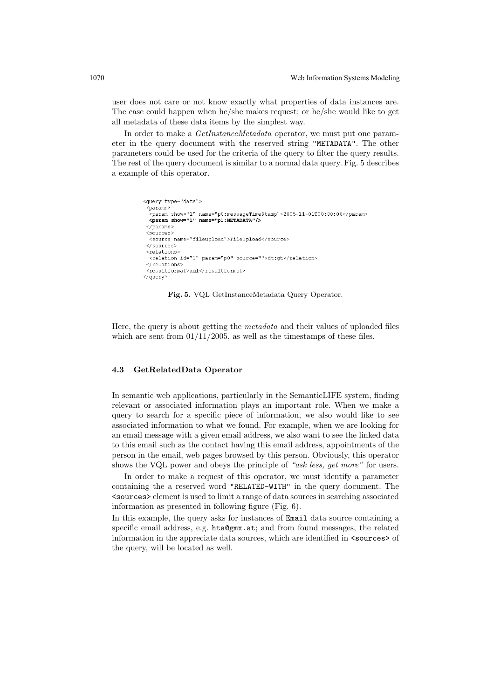user does not care or not know exactly what properties of data instances are. The case could happen when he/she makes request; or he/she would like to get all metadata of these data items by the simplest way.

In order to make a GetInstanceMetadata operator, we must put one parameter in the query document with the reserved string "METADATA". The other parameters could be used for the criteria of the query to filter the query results. The rest of the query document is similar to a normal data query. Fig. 5 describes a example of this operator.

```
<guery type="data">
 .<br><params>
  .<br><param show="1" name="p0:messageTimeStamp">2005-11-01T00:00:00</param>
 <param show="1" name="p1:METADATA"/>
 \langle/params>
 <sources>
 <source name="fileupload">FileUpload</source>
 </sources>
 <relations>
 <relation id="1" param="p0" source="">dt:qt</relation>
 </relations>
 .<br><resultformat>xml</resultformat>
</guery>
```
Fig. 5. VQL GetInstanceMetadata Query Operator.

Here, the query is about getting the metadata and their values of uploaded files which are sent from  $01/11/2005$ , as well as the timestamps of these files.

#### 4.3 GetRelatedData Operator

In semantic web applications, particularly in the SemanticLIFE system, finding relevant or associated information plays an important role. When we make a query to search for a specific piece of information, we also would like to see associated information to what we found. For example, when we are looking for an email message with a given email address, we also want to see the linked data to this email such as the contact having this email address, appointments of the person in the email, web pages browsed by this person. Obviously, this operator shows the VQL power and obeys the principle of "ask less, get more" for users.

In order to make a request of this operator, we must identify a parameter containing the a reserved word "RELATED-WITH" in the query document. The <sources> element is used to limit a range of data sources in searching associated information as presented in following figure (Fig. 6).

In this example, the query asks for instances of Email data source containing a specific email address, e.g. hta@gmx.at; and from found messages, the related information in the appreciate data sources, which are identified in  $\leq$  sources of the query, will be located as well.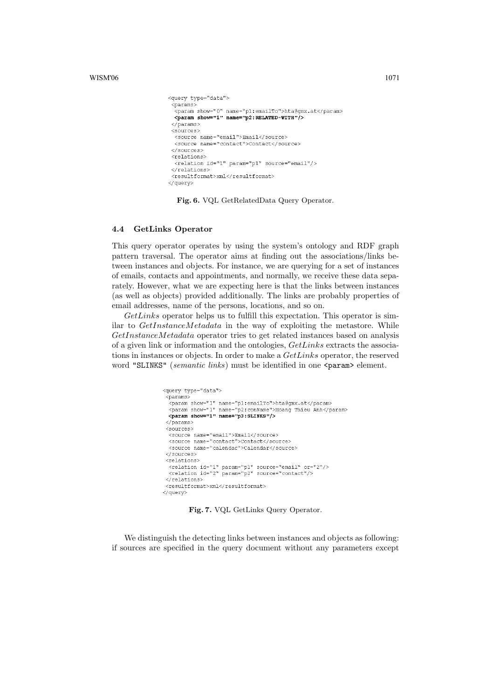$WISM'06$  1071

```
<query type="data">
 .<br><params
  .<br><param show="0" name="p1:emailTo">hta@qmx.at</param>
 <param show="0" hame="p1.email10">htaggm.
 </params>
 <sources>
  <source name="email">Email</source>
 <source name="contact">Contact</source>
</sources>
<relations>
  <relation id="1" param="p1" source="email"/>
</relations>
<resultformat>xml</resultformat>
</query>
```
Fig. 6. VQL GetRelatedData Query Operator.

#### 4.4 GetLinks Operator

This query operator operates by using the system's ontology and RDF graph pattern traversal. The operator aims at finding out the associations/links between instances and objects. For instance, we are querying for a set of instances of emails, contacts and appointments, and normally, we receive these data separately. However, what we are expecting here is that the links between instances (as well as objects) provided additionally. The links are probably properties of email addresses, name of the persons, locations, and so on.

GetLinks operator helps us to fulfill this expectation. This operator is similar to GetInstanceMetadata in the way of exploiting the metastore. While GetInstanceMetadata operator tries to get related instances based on analysis of a given link or information and the ontologies, GetLinks extracts the associations in instances or objects. In order to make a  $GetLinks$  operator, the reserved word "SLINKS" (semantic links) must be identified in one <param> element.

```
<query type="data">
 <params>
  <paramo:<br><param show="1" name="p1:emailTo">hta@gmx.at</param>
 -param show="1" name="p2:conName">Hoang Thieu Anh</param><br>\sigma aram show="1" name="p2:conName">Hoang Thieu Anh</param>
 \langle/params>
 <sources>
  <source name="email">Email</source>
  <source name="contact">Contact</source>
  <source name="calendar">Calendar</source>
 </sources>
 <relations>
 </relations>
 <resultformat>xml</resultformat>
</duerv>
```
Fig. 7. VQL GetLinks Query Operator.

We distinguish the detecting links between instances and objects as following: if sources are specified in the query document without any parameters except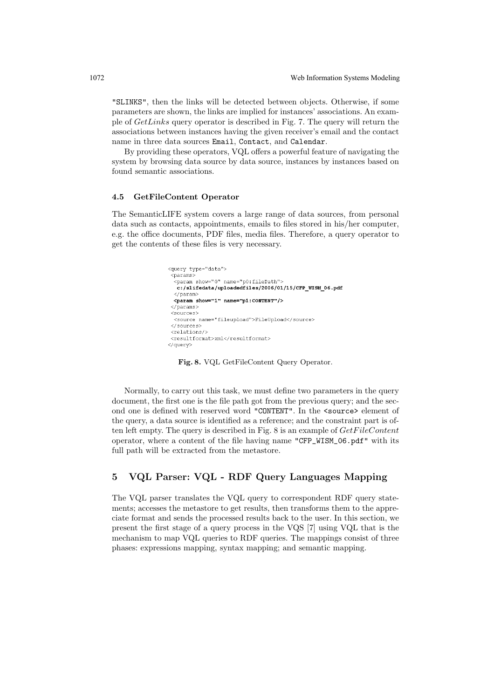"SLINKS", then the links will be detected between objects. Otherwise, if some parameters are shown, the links are implied for instances' associations. An example of GetLinks query operator is described in Fig. 7. The query will return the associations between instances having the given receiver's email and the contact name in three data sources Email, Contact, and Calendar.

By providing these operators, VQL offers a powerful feature of navigating the system by browsing data source by data source, instances by instances based on found semantic associations.

#### 4.5 GetFileContent Operator

The SemanticLIFE system covers a large range of data sources, from personal data such as contacts, appointments, emails to files stored in his/her computer, e.g. the office documents, PDF files, media files. Therefore, a query operator to get the contents of these files is very necessary.

```
<query type="data">
 .<br><params>
  .<br><param show="0" name="p0:filePath">
  c:/slifedata/uploadedfiles/2006/01/15/CFP_WISM_06.pdf
  \langle/param>
 <param show="1" name="p1:CONTENT"/>
 </params>
<sources>
 <source name="fileupload">FileUpload</source>
 </sources>
<relations/>
<resultformat>xml</resultformat>
</guery>
```
Fig. 8. VQL GetFileContent Query Operator.

Normally, to carry out this task, we must define two parameters in the query document, the first one is the file path got from the previous query; and the second one is defined with reserved word "CONTENT". In the <source> element of the query, a data source is identified as a reference; and the constraint part is often left empty. The query is described in Fig.  $8$  is an example of  $GetFileContent$ operator, where a content of the file having name "CFP\_WISM\_06.pdf" with its full path will be extracted from the metastore.

# 5 VQL Parser: VQL - RDF Query Languages Mapping

The VQL parser translates the VQL query to correspondent RDF query statements; accesses the metastore to get results, then transforms them to the appreciate format and sends the processed results back to the user. In this section, we present the first stage of a query process in the VQS [7] using VQL that is the mechanism to map VQL queries to RDF queries. The mappings consist of three phases: expressions mapping, syntax mapping; and semantic mapping.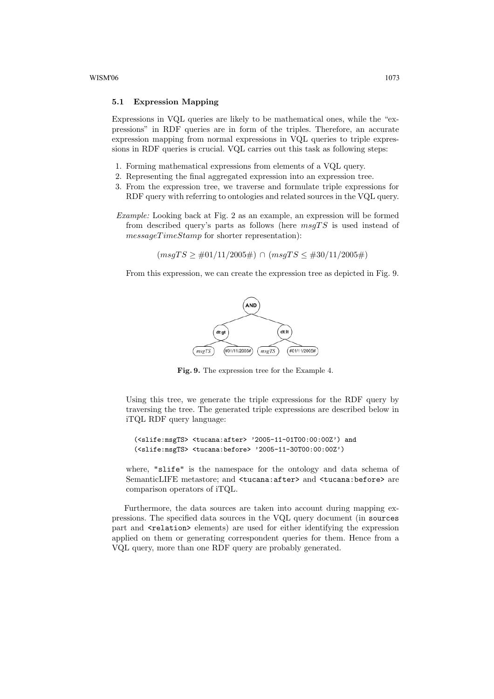#### 5.1 Expression Mapping

Expressions in VQL queries are likely to be mathematical ones, while the "expressions" in RDF queries are in form of the triples. Therefore, an accurate expression mapping from normal expressions in VQL queries to triple expressions in RDF queries is crucial. VQL carries out this task as following steps:

- 1. Forming mathematical expressions from elements of a VQL query.
- 2. Representing the final aggregated expression into an expression tree.
- 3. From the expression tree, we traverse and formulate triple expressions for RDF query with referring to ontologies and related sources in the VQL query.
- Example: Looking back at Fig. 2 as an example, an expression will be formed from described query's parts as follows (here  $msgTS$  is used instead of messageTimeStamp for shorter representation):

 $(msgTS \geq #01/11/2005\#)\cap (msgTS \leq #30/11/2005\#)$ 

From this expression, we can create the expression tree as depicted in Fig. 9.



Fig. 9. The expression tree for the Example 4.

Using this tree, we generate the triple expressions for the RDF query by traversing the tree. The generated triple expressions are described below in iTQL RDF query language:

(<slife:msgTS> <tucana:after> '2005-11-01T00:00:00Z') and (<slife:msgTS> <tucana:before> '2005-11-30T00:00:00Z')

where, "slife" is the namespace for the ontology and data schema of SemanticLIFE metastore; and <tucana:after> and <tucana:before> are comparison operators of iTQL.

Furthermore, the data sources are taken into account during mapping expressions. The specified data sources in the VQL query document (in sources part and <relation> elements) are used for either identifying the expression applied on them or generating correspondent queries for them. Hence from a VQL query, more than one RDF query are probably generated.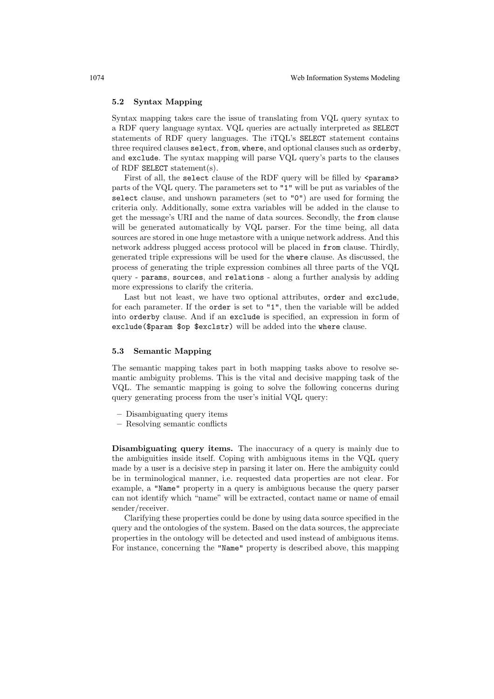#### 5.2 Syntax Mapping

Syntax mapping takes care the issue of translating from VQL query syntax to a RDF query language syntax. VQL queries are actually interpreted as SELECT statements of RDF query languages. The iTQL's SELECT statement contains three required clauses select, from, where, and optional clauses such as orderby, and exclude. The syntax mapping will parse VQL query's parts to the clauses of RDF SELECT statement(s).

First of all, the select clause of the RDF query will be filled by <params> parts of the VQL query. The parameters set to "1" will be put as variables of the select clause, and unshown parameters (set to "0") are used for forming the criteria only. Additionally, some extra variables will be added in the clause to get the message's URI and the name of data sources. Secondly, the from clause will be generated automatically by VQL parser. For the time being, all data sources are stored in one huge metastore with a unique network address. And this network address plugged access protocol will be placed in from clause. Thirdly, generated triple expressions will be used for the where clause. As discussed, the process of generating the triple expression combines all three parts of the VQL query - params, sources, and relations - along a further analysis by adding more expressions to clarify the criteria.

Last but not least, we have two optional attributes, order and exclude, for each parameter. If the order is set to "1", then the variable will be added into orderby clause. And if an exclude is specified, an expression in form of exclude(\$param \$op \$exclstr) will be added into the where clause.

#### 5.3 Semantic Mapping

The semantic mapping takes part in both mapping tasks above to resolve semantic ambiguity problems. This is the vital and decisive mapping task of the VQL. The semantic mapping is going to solve the following concerns during query generating process from the user's initial VQL query:

- Disambiguating query items
- Resolving semantic conflicts

Disambiguating query items. The inaccuracy of a query is mainly due to the ambiguities inside itself. Coping with ambiguous items in the VQL query made by a user is a decisive step in parsing it later on. Here the ambiguity could be in terminological manner, i.e. requested data properties are not clear. For example, a "Name" property in a query is ambiguous because the query parser can not identify which "name" will be extracted, contact name or name of email sender/receiver.

Clarifying these properties could be done by using data source specified in the query and the ontologies of the system. Based on the data sources, the appreciate properties in the ontology will be detected and used instead of ambiguous items. For instance, concerning the "Name" property is described above, this mapping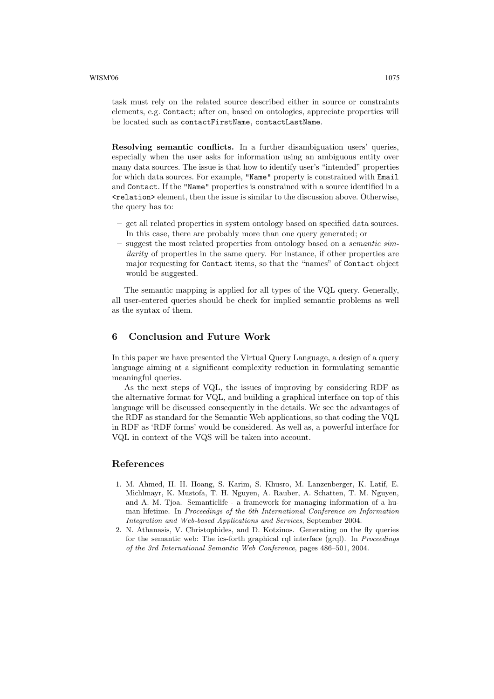task must rely on the related source described either in source or constraints elements, e.g. Contact; after on, based on ontologies, appreciate properties will be located such as contactFirstName, contactLastName.

Resolving semantic conflicts. In a further disambiguation users' queries, especially when the user asks for information using an ambiguous entity over many data sources. The issue is that how to identify user's "intended" properties for which data sources. For example, "Name" property is constrained with Email and Contact. If the "Name" properties is constrained with a source identified in a <relation> element, then the issue is similar to the discussion above. Otherwise, the query has to:

- get all related properties in system ontology based on specified data sources. In this case, there are probably more than one query generated; or
- suggest the most related properties from ontology based on a semantic similarity of properties in the same query. For instance, if other properties are major requesting for Contact items, so that the "names" of Contact object would be suggested.

The semantic mapping is applied for all types of the VQL query. Generally, all user-entered queries should be check for implied semantic problems as well as the syntax of them.

## 6 Conclusion and Future Work

In this paper we have presented the Virtual Query Language, a design of a query language aiming at a significant complexity reduction in formulating semantic meaningful queries.

As the next steps of VQL, the issues of improving by considering RDF as the alternative format for VQL, and building a graphical interface on top of this language will be discussed consequently in the details. We see the advantages of the RDF as standard for the Semantic Web applications, so that coding the VQL in RDF as 'RDF forms' would be considered. As well as, a powerful interface for VQL in context of the VQS will be taken into account.

### References

- 1. M. Ahmed, H. H. Hoang, S. Karim, S. Khusro, M. Lanzenberger, K. Latif, E. Michlmayr, K. Mustofa, T. H. Nguyen, A. Rauber, A. Schatten, T. M. Nguyen, and A. M. Tjoa. Semanticlife - a framework for managing information of a human lifetime. In Proceedings of the 6th International Conference on Information Integration and Web-based Applications and Services, September 2004.
- 2. N. Athanasis, V. Christophides, and D. Kotzinos. Generating on the fly queries for the semantic web: The ics-forth graphical rql interface (grql). In Proceedings of the 3rd International Semantic Web Conference, pages 486–501, 2004.